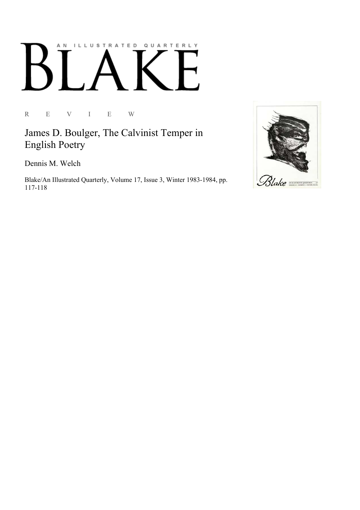## AN ILLUSTRATED QUARTERLY

R E V I E W

James D. Boulger, The Calvinist Temper in English Poetry

Dennis M. Welch

Blake/An Illustrated Quarterly, Volume 17, Issue 3, Winter 1983-1984, pp. 117-118

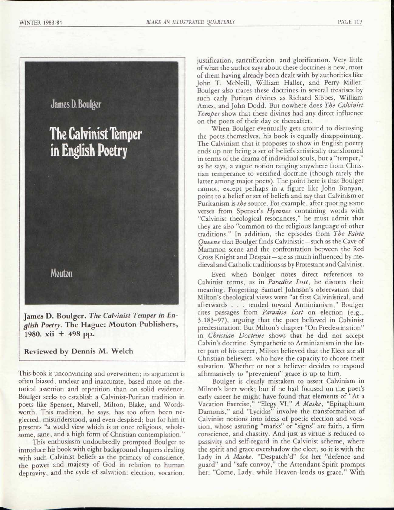

James D. Boulger. *The Calvinist Temper in En*glish Poetry. The Hague: Mouton Publishers, 1980. xii + 498 pp.

Reviewed by Dennis M. Welch

This book is unconvincing and overwritten; its argument is often biased, unclear and inaccurate, based more on rhetorical assertion and repetition than on solid evidence. Boulger seeks to establish a Calvinist-Puritan tradition in poets like Spenser, Marvell, Milton, Blake, and Wordsworth. This tradition, he says, has too often been neglected, misunderstood, and even despised; but for him it presents "a world view which is at once religious, wholesome, sane, and a high form of Christian contemplation."

This enthusiasm undoubtedly prompted Boulger to introduce his book with eight background chapters dealing with such Calvinist beliefs as the primacy of conscience, the power and majesty of God in relation to human depravity, and the cycle of salvation: election, vocation,

justification, sanctification, and glorification. Very little of what the author says about these doctrines is new, most of them having already been dealt with by authorities like John T. McNeill, William Haller, and Perry Miller. Boulger also traces these doctrines in several treatises by such early Puritan divines as Richard Sibbes, William Ames, and John Dodd. But nowhere does *The Calvinist Temper* show that these divines had any direct influence on the poets of their day or thereafter.

When Boulger eventually gets around to discussing the poets themselves, his book is equally disappointing. The Calvinism that it proposes to show in English poetry ends up not being a set of beliefs artistically transformed in terms of the drama of individual souls, but a "temper," as he says, a vague notion ranging anywhere from Christian temperance to versified doctrine (though rarely the latter among major poets). The point here is that Boulger cannot, except perhaps in a figure like John Bunyan, point to a belief or set of beliefs and say that Calvinism or Puritanism is *the* source. For example, after quoting some verses from Spenser's *Hymnes* containing words with "Calvinist theological resonances," he must admit that they are also "common to the religious language of other traditions." In addition, the episodes from *The Fairie Queene* that Boulger finds Calvinistic — such as the Cave of Mammon scene and the confrontation between the Red Cross Knight and Despair —are as much influenced by medieval and Catholic traditions as by Protestant and Calvinist.

Even when Boulger notes direct references to Calvinist terms, as in *Paradise Lost,* he distorts their meaning. Forgetting Samuel Johnson's observation that Milton's theological views were "at first Calvinistical, and afterwards . . . tended toward Arminianism," Boulger cites passages from *Paradise Lost* on election (e.g., 3.183-97), arguing that the poet believed in Calvinist predestination. But Milton's chapter "On Predestination" in *Christian Doctrine* shows that he did not accept Calvin's doctrine. Sympathetic to Arminianism in the latter part of his career, Milton believed that the Elect are all Christian believers, who have the capacity to choose their salvation. Whether or not a believer decides to respond affirmatively to "prevenient" grace is up to him.

Boulger is clearly mistaken to assert Calvinism in Milton's later work; but if he had focused on the poet's early career he might have found that elements of "At a Vacation Exercise," "Elegy VI," *A Maske,* "Epitaphium Damonis," and "Lycidas" involve the transformation of Calvinist notions into ideas of poetic election and vocation, whose assuring "marks" or "signs" are faith, a firm conscience, and chastity. And just as virtue is reduced to passivity and self-regard in the Calvinist scheme, where the spirit and grace overshadow the elect, so it is with the Lady in *A Maske*. "Despatch'd" for her "defence and guard" and "safe convoy," the Attendant Spirit prompts her: "Come, Lady, while Heaven lends us grace." With